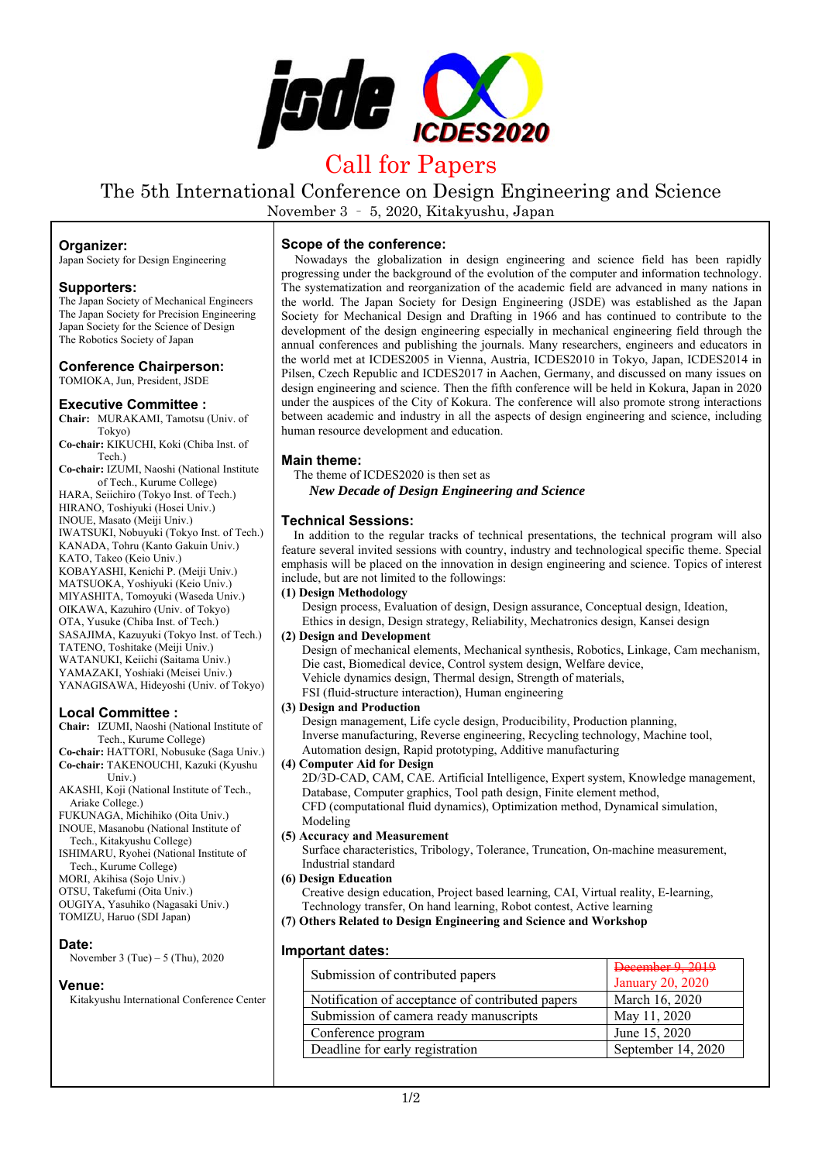

# Call for Papers

The 5th International Conference on Design Engineering and Science

November 3 – 5, 2020, Kitakyushu, Japan

## **Organizer:**

Japan Society for Design Engineering

## **Supporters:**

The Japan Society of Mechanical Engineers The Japan Society for Precision Engineering Japan Society for the Science of Design The Robotics Society of Japan

#### **Conference Chairperson:**  TOMIOKA, Jun, President, JSDE

## **Executive Committee :**

**Chair:** MURAKAMI, Tamotsu (Univ. of Tokyo)

**Co-chair:** KIKUCHI, Koki (Chiba Inst. of Tech.)

**Co-chair:** IZUMI, Naoshi (National Institute of Tech., Kurume College)

HARA, Seiichiro (Tokyo Inst. of Tech.) HIRANO, Toshiyuki (Hosei Univ.) INOUE, Masato (Meiji Univ.) IWATSUKI, Nobuyuki (Tokyo Inst. of Tech.) KANADA, Tohru (Kanto Gakuin Univ.) KATO, Takeo (Keio Univ.) KOBAYASHI, Kenichi P. (Meiji Univ.) MATSUOKA, Yoshiyuki (Keio Univ.) MIYASHITA, Tomoyuki (Waseda Univ.) OIKAWA, Kazuhiro (Univ. of Tokyo) OTA, Yusuke (Chiba Inst. of Tech.) SASAJIMA, Kazuyuki (Tokyo Inst. of Tech.) TATENO, Toshitake (Meiji Univ.) WATANUKI, Keiichi (Saitama Univ.) YAMAZAKI, Yoshiaki (Meisei Univ.) YANAGISAWA, Hideyoshi (Univ. of Tokyo)

# **Local Committee :**

**Chair:** IZUMI, Naoshi (National Institute of Tech., Kurume College)

**Co-chair:** HATTORI, Nobusuke (Saga Univ.) **Co-chair:** TAKENOUCHI, Kazuki (Kyushu Univ.)

AKASHI, Koji (National Institute of Tech., Ariake College.)

FUKUNAGA, Michihiko (Oita Univ.) INOUE, Masanobu (National Institute of

Tech., Kitakyushu College) ISHIMARU, Ryohei (National Institute of

Tech., Kurume College)

- MORI, Akihisa (Sojo Univ.)
- OTSU, Takefumi (Oita Univ.)

OUGIYA, Yasuhiko (Nagasaki Univ.) TOMIZU, Haruo (SDI Japan)

# **Date:**

November 3 (Tue) – 5 (Thu), 2020

# **Venue:**

Kitakyushu International Conference Center

# **Scope of the conference:**

Nowadays the globalization in design engineering and science field has been rapidly progressing under the background of the evolution of the computer and information technology. The systematization and reorganization of the academic field are advanced in many nations in the world. The Japan Society for Design Engineering (JSDE) was established as the Japan Society for Mechanical Design and Drafting in 1966 and has continued to contribute to the development of the design engineering especially in mechanical engineering field through the annual conferences and publishing the journals. Many researchers, engineers and educators in the world met at ICDES2005 in Vienna, Austria, ICDES2010 in Tokyo, Japan, ICDES2014 in Pilsen, Czech Republic and ICDES2017 in Aachen, Germany, and discussed on many issues on design engineering and science. Then the fifth conference will be held in Kokura, Japan in 2020 under the auspices of the City of Kokura. The conference will also promote strong interactions between academic and industry in all the aspects of design engineering and science, including human resource development and education.

## **Main theme:**

The theme of ICDES2020 is then set as *New Decade of Design Engineering and Science* 

# **Technical Sessions:**

In addition to the regular tracks of technical presentations, the technical program will also feature several invited sessions with country, industry and technological specific theme. Special emphasis will be placed on the innovation in design engineering and science. Topics of interest include, but are not limited to the followings:

## **(1) Design Methodology**

Design process, Evaluation of design, Design assurance, Conceptual design, Ideation, Ethics in design, Design strategy, Reliability, Mechatronics design, Kansei design

## **(2) Design and Development**

Design of mechanical elements, Mechanical synthesis, Robotics, Linkage, Cam mechanism, Die cast, Biomedical device, Control system design, Welfare device, Vehicle dynamics design, Thermal design, Strength of materials, FSI (fluid-structure interaction), Human engineering

## **(3) Design and Production**

Design management, Life cycle design, Producibility, Production planning, Inverse manufacturing, Reverse engineering, Recycling technology, Machine tool, Automation design, Rapid prototyping, Additive manufacturing

## **(4) Computer Aid for Design**

2D/3D-CAD, CAM, CAE. Artificial Intelligence, Expert system, Knowledge management, Database, Computer graphics, Tool path design, Finite element method, CFD (computational fluid dynamics), Optimization method, Dynamical simulation, Modeling

## **(5) Accuracy and Measurement**

Surface characteristics, Tribology, Tolerance, Truncation, On-machine measurement, Industrial standard

## **(6) Design Education**

Creative design education, Project based learning, CAI, Virtual reality, E-learning, Technology transfer, On hand learning, Robot contest, Active learning

## **(7) Others Related to Design Engineering and Science and Workshop**

# **Important dates:**

| Submission of contributed papers                 | <b>January 20, 2020</b> |
|--------------------------------------------------|-------------------------|
| Notification of acceptance of contributed papers | March 16, 2020          |
| Submission of camera ready manuscripts           | May 11, 2020            |
| Conference program                               | June 15, 2020           |
| Deadline for early registration                  | September 14, 2020      |